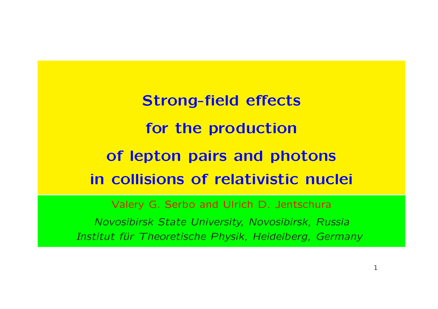Strong-field effects for the production of lepton pairs and photons in collisions of relativistic nuclei

Valery G. Serbo and Ulrich D. Jentschura

Novosibirsk State University, Novosibirsk, Russia Institut für Theoretische Physik, Heidelberg, Germany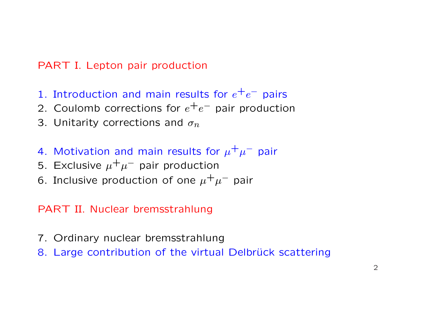### PART I. Lepton pair production

- 1. Introduction and main results for  $e^+e^-$  pairs
- 2. Coulomb corrections for  $e^+e^-$  pair production
- 3. Unitarity corrections and  $\sigma_n$
- 4. Motivation and main results for  $\mu^+ \mu^-$  pair
- 5. Exclusive  $\mu^+ \mu^-$  pair production
- 6. Inclusive production of one  $\mu^+\mu^-$  pair

### PART II. Nuclear bremsstrahlung

- 7. Ordinary nuclear bremsstrahlung
- 8. Large contribution of the virtual Delbrück scattering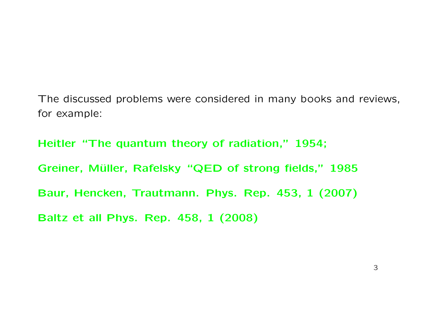The discussed problems were considered in many books and reviews, for example:

Heitler "The quantum theory of radiation," 1954; Greiner, Müller, Rafelsky "QED of strong fields," 1985 Baur, Hencken, Trautmann. Phys. Rep. 453, 1 (2007) Baltz et all Phys. Rep. 458, 1 (2008)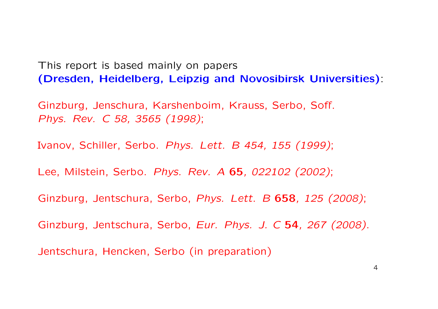This report is based mainly on papers (Dresden, Heidelberg, Leipzig and Novosibirsk Universities):

Ginzburg, Jenschura, Karshenboim, Krauss, Serbo, Soff. Phys. Rev. C 58, 3565 (1998);

Ivanov, Schiller, Serbo. Phys. Lett. B 454, 155 (1999);

Lee, Milstein, Serbo. Phys. Rev. A 65, 022102 (2002);

Ginzburg, Jentschura, Serbo, Phys. Lett. B 658, 125 (2008);

Ginzburg, Jentschura, Serbo, Eur. Phys. J. C 54, 267 (2008).

Jentschura, Hencken, Serbo (in preparation)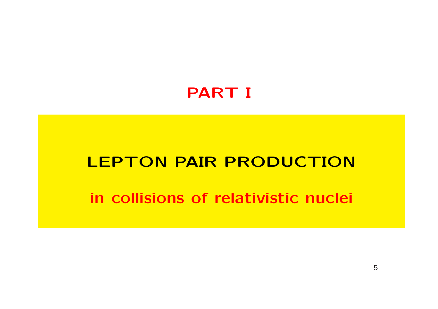## PART I

### LEPTON PAIR PRODUCTION

### in collisions of relativistic nuclei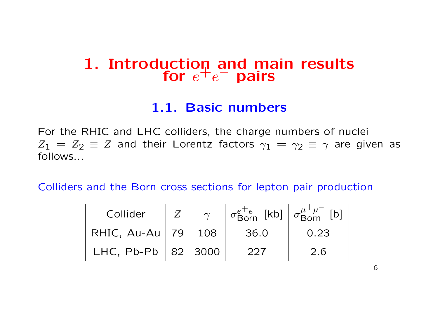### 1. Introduction and main results  $\frac{1}{2}$  for  $e^+e^-$  pairs

### 1.1. Basic numbers

For the RHIC and LHC colliders, the charge numbers of nuclei  $Z_1 = Z_2 \equiv Z$  and their Lorentz factors  $\gamma_1 = \gamma_2 \equiv \gamma$  are given as follows...

Colliders and the Born cross sections for lepton pair production

| Collider                 | $\sim$ | $\sigma_{\text{Born}}^{e^+e^-}$ [kb] $\sigma_{\text{Born}}^{\mu^+ \mu^-}$ [b] |      |
|--------------------------|--------|-------------------------------------------------------------------------------|------|
| RHIC, $Au-Au$   79   108 |        | 36.0                                                                          | 0.23 |
| LHC, Pb-Pb $ 82 3000$    |        | 227                                                                           | 2.6  |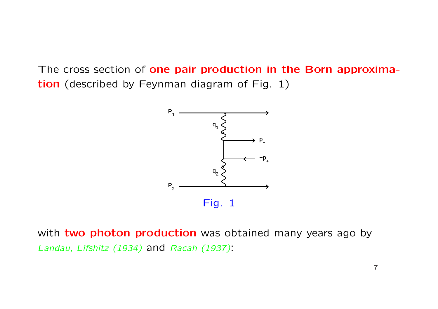The cross section of one pair production in the Born approximation (described by Feynman diagram of Fig. 1)



with two photon production was obtained many years ago by Landau, Lifshitz (1934) and Racah (1937):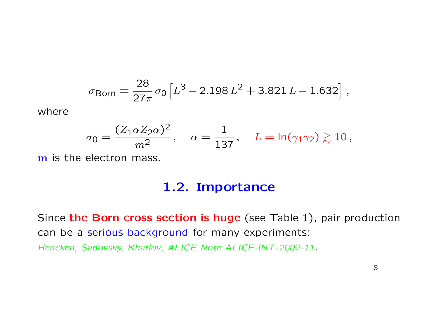$$
\sigma_{\text{Born}} = \frac{28}{27\pi} \sigma_0 \left[ L^3 - 2.198 L^2 + 3.821 L - 1.632 \right],
$$

where

$$
\sigma_0 = \frac{(Z_1 \alpha Z_2 \alpha)^2}{m^2}, \quad \alpha = \frac{1}{137}, \quad L = \ln(\gamma_1 \gamma_2) \gtrsim 10,
$$

m is the electron mass.

### 1.2. Importance

Since the Born cross section is huge (see Table 1), pair production can be a serious background for many experiments: Hencken, Sadovsky, Kharlov, ALICE Note ALICE-INT-2002-11.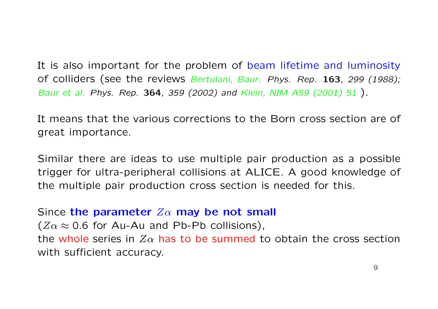It is also important for the problem of beam lifetime and luminosity of colliders (see the reviews Bertulani, Baur. Phys. Rep. 163, 299 (1988); Baur et al. Phys. Rep. 364, 359 (2002) and Klein, NIM A59 (2001) 51 ).

It means that the various corrections to the Born cross section are of great importance.

Similar there are ideas to use multiple pair production as a possible trigger for ultra-peripheral collisions at ALICE. A good knowledge of the multiple pair production cross section is needed for this.

#### Since the parameter  $Z\alpha$  may be not small

 $(Z\alpha \approx 0.6$  for Au-Au and Pb-Pb collisions), the whole series in  $Z\alpha$  has to be summed to obtain the cross section with sufficient accuracy.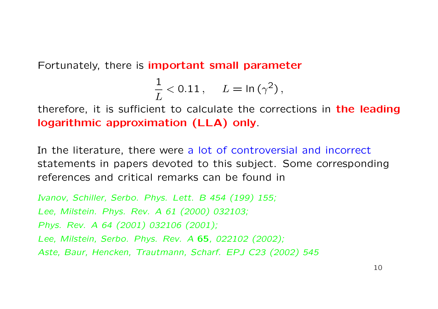Fortunately, there is important small parameter

$$
\frac{1}{L} < 0.11\,, \quad L = \ln\left(\gamma^2\right),
$$

therefore, it is sufficient to calculate the corrections in **the leading** logarithmic approximation (LLA) only.

In the literature, there were a lot of controversial and incorrect statements in papers devoted to this subject. Some corresponding references and critical remarks can be found in

Ivanov, Schiller, Serbo. Phys. Lett. B 454 (199) 155; Lee, Milstein. Phys. Rev. A 61 (2000) 032103; Phys. Rev. A 64 (2001) 032106 (2001); Lee, Milstein, Serbo. Phys. Rev. A 65, 022102 (2002); Aste, Baur, Hencken, Trautmann, Scharf. EPJ C23 (2002) 545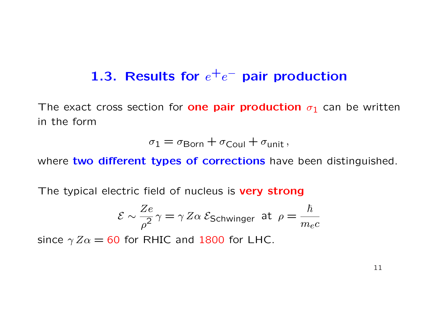# 1.3. Results for  $e^+e^-$  pair production

The exact cross section for **one pair production**  $\sigma_1$  can be written in the form

$$
\sigma_1 = \sigma_{\text{Born}} + \sigma_{\text{Coul}} + \sigma_{\text{unit}},
$$

where two different types of corrections have been distinguished.

The typical electric field of nucleus is very strong

$$
\mathcal{E} \sim \frac{Ze}{\rho^2} \gamma = \gamma Z \alpha \; \mathcal{E}_{\text{Schwinger}} \; \text{at} \; \rho = \frac{\hbar}{m_e c}
$$

since  $\gamma Z\alpha = 60$  for RHIC and 1800 for LHC.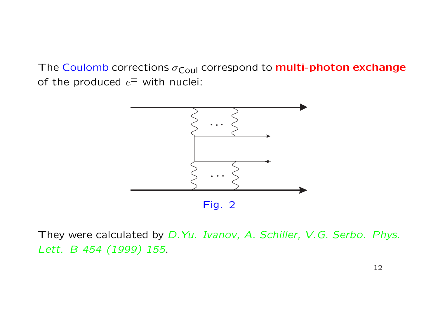The Coulomb corrections  $\sigma_{\text{Coul}}$  correspond to **multi-photon exchange** of the produced  $e^\pm$  with nuclei:



They were calculated by D.Yu. Ivanov, A. Schiller, V.G. Serbo. Phys. Lett. B 454 (1999) 155.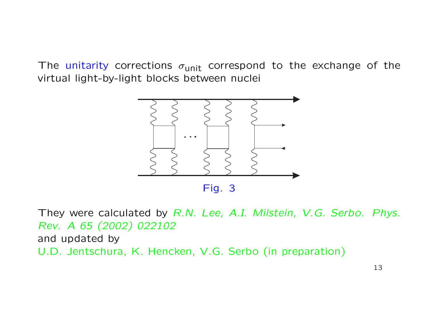The unitarity corrections  $\sigma_{\text{unit}}$  correspond to the exchange of the virtual light-by-light blocks between nuclei



They were calculated by R.N. Lee, A.I. Milstein, V.G. Serbo. Phys. Rev. A 65 (2002) 022102 and updated by U.D. Jentschura, K. Hencken, V.G. Serbo (in preparation)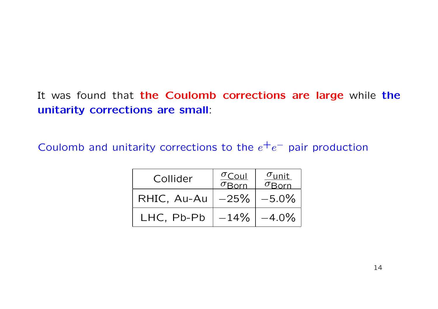### It was found that the Coulomb corrections are large while the unitarity corrections are small:

Coulomb and unitarity corrections to the  $e^+e^-$  pair production

| Collider    | $\sigma$ Coul<br>$\overline{\sigma_{\sf Born}}$ | $\sigma$ unit |
|-------------|-------------------------------------------------|---------------|
| RHIC, Au-Au | $-25%$                                          | $-5.0\%$      |
| LHC, Pb-Pb  | $-14%$                                          | $-4.0\%$      |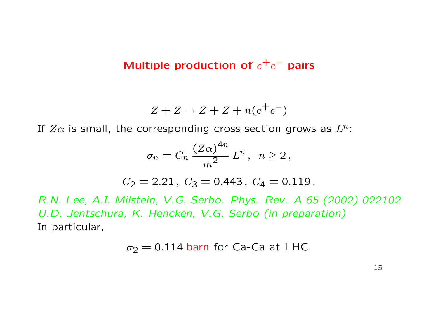### Multiple production of  $e^+e^-$  pairs

$$
Z + Z \rightarrow Z + Z + n(e^+e^-)
$$

If  $Z\alpha$  is small, the corresponding cross section grows as  $L^n$ :

$$
\sigma_n = C_n \, \frac{(Z\alpha)^{4n}}{m^2} \, L^n, \quad n \ge 2 \,,
$$

$$
C_2 = 2.21, C_3 = 0.443, C_4 = 0.119.
$$

R.N. Lee, A.I. Milstein, V.G. Serbo. Phys. Rev. A 65 (2002) 022102 U.D. Jentschura, K. Hencken, V.G. Serbo (in preparation) In particular,

$$
\sigma_2 = 0.114
$$
 barn for Ca-Ca at LHC.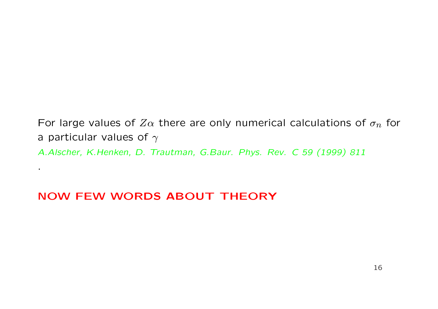For large values of  $Z\alpha$  there are only numerical calculations of  $\sigma_n$  for a particular values of  $\gamma$ A.Alscher, K.Henken, D. Trautman, G.Baur. Phys. Rev. C 59 (1999) 811

### NOW FEW WORDS ABOUT THEORY

.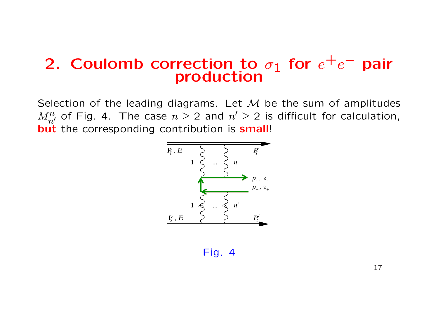# 2. Coulomb correction to  $\sigma_1$  for  $e^+e^-$  pair production

Selection of the leading diagrams. Let  $M$  be the sum of amplitudes  $M_{n'}^n$  of Fig. 4. The case  $n\geq 2$  and  $n'\geq 2$  is difficult for calculation, but the corresponding contribution is small!



Fig. 4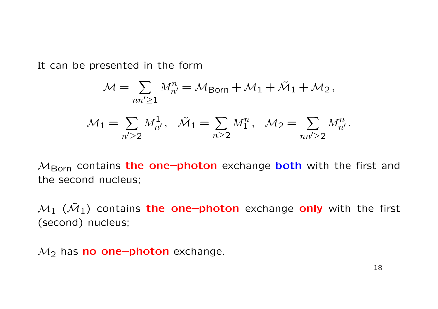It can be presented in the form

$$
\mathcal{M} = \sum_{nn'\geq 1} M_{n'}^n = \mathcal{M}_{\text{Born}} + \mathcal{M}_1 + \tilde{\mathcal{M}}_1 + \mathcal{M}_2,
$$
  

$$
\mathcal{M}_1 = \sum_{n'\geq 2} M_{n'}^1, \quad \tilde{\mathcal{M}}_1 = \sum_{n\geq 2} M_1^n, \quad \mathcal{M}_2 = \sum_{nn'\geq 2} M_{n'}^n.
$$

 $M_{\rm Born}$  contains the one-photon exchange both with the first and the second nucleus;

 $\mathcal{M}_1$  ( $\tilde{\mathcal{M}}_1$ ) contains the one-photon exchange only with the first (second) nucleus;

 $\mathcal{M}_2$  has **no one-photon** exchange.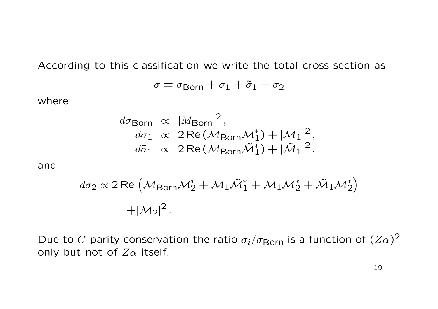According to this classification we write the total cross section as

$$
\sigma = \sigma_{\text{Born}} + \sigma_1 + \tilde{\sigma}_1 + \sigma_2
$$

where

$$
d\sigma_{\text{Born}} \propto |M_{\text{Born}}|^2,
$$
  
\n
$$
d\sigma_1 \propto 2 \text{Re}(\mathcal{M}_{\text{Born}} \mathcal{M}_1^*) + |\mathcal{M}_1|^2,
$$
  
\n
$$
d\tilde{\sigma}_1 \propto 2 \text{Re}(\mathcal{M}_{\text{Born}} \tilde{\mathcal{M}}_1^*) + |\tilde{\mathcal{M}}_1|^2,
$$

and

$$
d\sigma_2 \propto 2 \text{ Re } \left( \mathcal{M}_{\text{Born}} \mathcal{M}_2^* + \mathcal{M}_1 \tilde{\mathcal{M}}_1^* + \mathcal{M}_1 \mathcal{M}_2^* + \tilde{\mathcal{M}}_1 \mathcal{M}_2^* \right)
$$
  
+ 
$$
|\mathcal{M}_2|^2.
$$

Due to C-parity conservation the ratio  $\sigma_i/\sigma_{\rm Born}$  is a function of  $(Z\alpha)^2$ only but not of  $Z\alpha$  itself.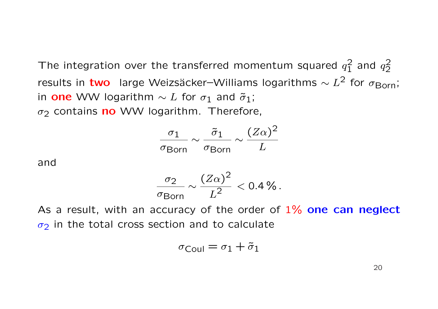The integration over the transferred momentum squared  $q_1^2$  $rac{2}{1}$  and  $q_2^2$ 2 results in two large Weizsäcker–Williams logarithms  $\sim L^2$  for  $\sigma_{\rm Born}$ ; in one WW logarithm  $\sim L$  for  $\sigma_1$  and  $\tilde{\sigma}_1$ ;  $\sigma_2$  contains no WW logarithm. Therefore,

| $\sigma$ 1               | $\sigma$ 1          | $(Z\alpha)^2$ |
|--------------------------|---------------------|---------------|
| $\sigma_{\mathsf{Born}}$ | $\sigma_{\rm Born}$ |               |

and

$$
\frac{\sigma_2}{\sigma_{\text{Born}}} \sim \frac{(Z\alpha)^2}{L^2} < 0.4\,\% \,.
$$

As a result, with an accuracy of the order of  $1\%$  one can neglect  $\sigma_2$  in the total cross section and to calculate

$$
\sigma_{\rm Coul}=\sigma_1+\tilde{\sigma}_1
$$

20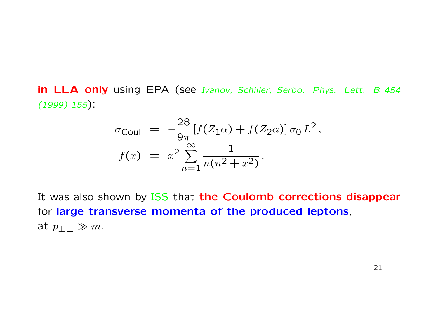in LLA only using EPA (see Ivanov, Schiller, Serbo. Phys. Lett. B 454  $(1999) 155$ 

$$
\sigma_{\text{Coul}} = -\frac{28}{9\pi} [f(Z_1\alpha) + f(Z_2\alpha)] \sigma_0 L^2,
$$
  

$$
f(x) = x^2 \sum_{n=1}^{\infty} \frac{1}{n(n^2 + x^2)}.
$$

It was also shown by ISS that the Coulomb corrections disappear for large transverse momenta of the produced leptons, at  $p_{+} \geqslant m$ .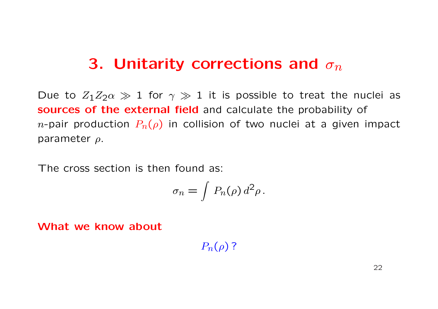# 3. Unitarity corrections and  $\sigma_n$

Due to  $Z_1Z_2\alpha \gg 1$  for  $\gamma \gg 1$  it is possible to treat the nuclei as sources of the external field and calculate the probability of *n*-pair production  $P_n(\rho)$  in collision of two nuclei at a given impact parameter ρ.

The cross section is then found as:

$$
\sigma_n = \int P_n(\rho) d^2 \rho.
$$

What we know about

 $P_n(\rho)$ ?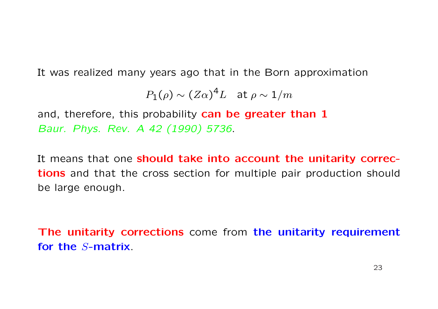It was realized many years ago that in the Born approximation

$$
P_1(\rho) \sim (Z\alpha)^4 L
$$
 at  $\rho \sim 1/m$ 

and, therefore, this probability can be greater than 1 Baur. Phys. Rev. A 42 (1990) 5736.

It means that one should take into account the unitarity corrections and that the cross section for multiple pair production should be large enough.

The unitarity corrections come from the unitarity requirement for the S-matrix.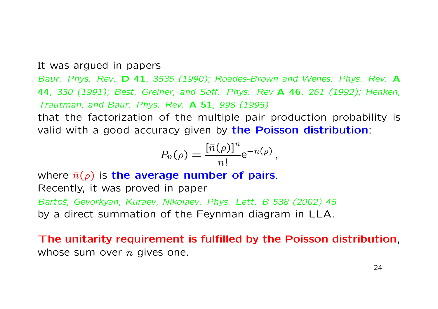#### It was argued in papers

Baur. Phys. Rev. D 41, 3535 (1990); Roades-Brown and Wenes. Phys. Rev. A 44, 330 (1991); Best, Greiner, and Soff. Phys. Rev A 46, 261 (1992); Henken, Trautman, and Baur. Phys. Rev. A 51, 998 (1995)

that the factorization of the multiple pair production probability is valid with a good accuracy given by the Poisson distribution:

$$
P_n(\rho) = \frac{\left[\bar{n}(\rho)\right]^n}{n!} e^{-\bar{n}(\rho)},
$$

where  $\bar{n}(\rho)$  is the average number of pairs. Recently, it was proved in paper Bartoš, Gevorkyan, Kuraev, Nikolaev. Phys. Lett. B 538 (2002) 45 by a direct summation of the Feynman diagram in LLA.

The unitarity requirement is fulfilled by the Poisson distribution, whose sum over  $n$  gives one.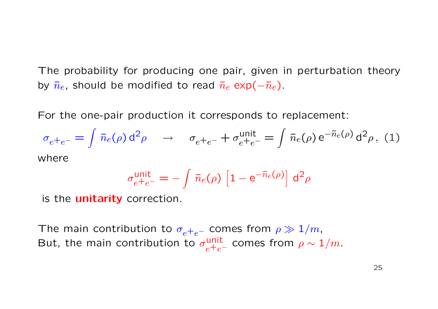The probability for producing one pair, given in perturbation theory by  $\bar{n}_e$ , should be modified to read  $\bar{n}_e$  exp( $-\bar{n}_e$ ).

For the one-pair production it corresponds to replacement:

$$
\sigma_{e^+e^-} = \int \bar{n}_e(\rho) d^2 \rho \qquad \to \qquad \sigma_{e^+e^-} + \sigma_{e^+e^-}^{\text{unit}} = \int \bar{n}_e(\rho) e^{-\bar{n}_e(\rho)} d^2 \rho, \tag{1}
$$
\nwhere

$$
\sigma_{e^+e^-}^{\text{unit}} = -\int \bar{n}_e(\rho) \left[1 - e^{-\bar{n}_e(\rho)}\right] d^2\rho
$$

is the **unitarity** correction.

The main contribution to  $\sigma_{e^+e^-}$  comes from  $\rho \gg 1/m$ , But, the main contribution to  $\sigma_{e^+e^-}^{\text{unit}}$  comes from  $\rho \sim 1/m$ .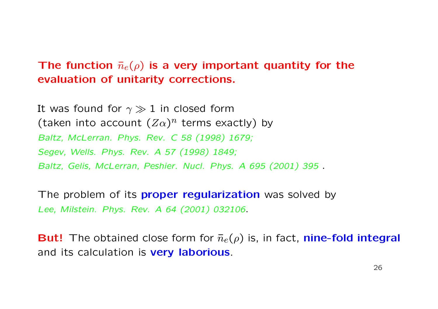### The function  $\bar{n}_e(\rho)$  is a very important quantity for the evaluation of unitarity corrections.

It was found for  $\gamma \gg 1$  in closed form (taken into account  $(Z\alpha)^n$  terms exactly) by Baltz, McLerran. Phys. Rev. C 58 (1998) 1679; Segev, Wells. Phys. Rev. A 57 (1998) 1849; Baltz, Gelis, McLerran, Peshier. Nucl. Phys. A 695 (2001) 395 .

The problem of its **proper regularization** was solved by Lee, Milstein. Phys. Rev. A 64 (2001) 032106.

**But!** The obtained close form for  $\bar{n}_e(\rho)$  is, in fact, **nine-fold integral** and its calculation is **very laborious**.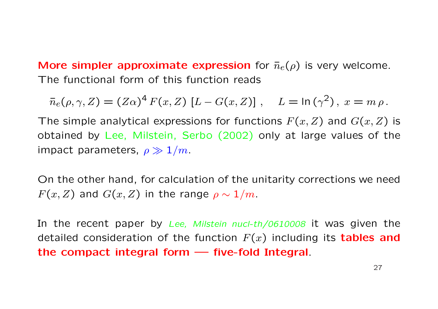More simpler approximate expression for  $\bar{n}_e(\rho)$  is very welcome. The functional form of this function reads

$$
\bar{n}_e(\rho,\gamma,Z) = (Z\alpha)^4 F(x,Z) [L - G(x,Z)], \quad L = \ln(\gamma^2), \ x = m \rho.
$$

The simple analytical expressions for functions  $F(x, Z)$  and  $G(x, Z)$  is obtained by Lee, Milstein, Serbo (2002) only at large values of the impact parameters,  $\rho \gg 1/m$ .

On the other hand, for calculation of the unitarity corrections we need  $F(x, Z)$  and  $G(x, Z)$  in the range  $\rho \sim 1/m$ .

In the recent paper by Lee, Milstein nucl-th/0610008 it was given the detailed consideration of the function  $F(x)$  including its **tables and** the compact integral form — five-fold Integral.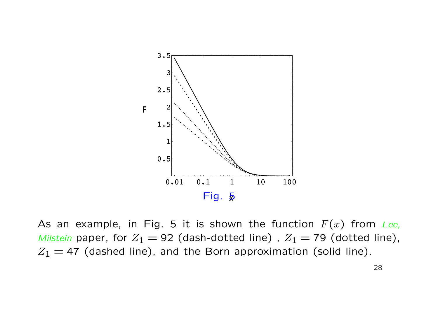

As an example, in Fig. 5 it is shown the function  $F(x)$  from Lee, Milstein paper, for  $Z_1 = 92$  (dash-dotted line),  $Z_1 = 79$  (dotted line),  $Z_1 = 47$  (dashed line), and the Born approximation (solid line).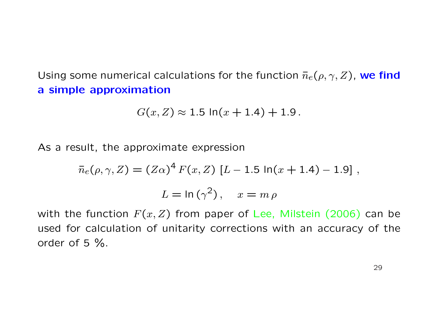Using some numerical calculations for the function  $\bar{n}_e(\rho, \gamma, Z)$ , we find a simple approximation

$$
G(x, Z) \approx 1.5 \ln(x + 1.4) + 1.9.
$$

As a result, the approximate expression

$$
\bar{n}_e(\rho, \gamma, Z) = (Z\alpha)^4 F(x, Z) [L - 1.5 \ln(x + 1.4) - 1.9],
$$
  

$$
L = \ln(\gamma^2), \quad x = m \rho
$$

with the function  $F(x, Z)$  from paper of Lee, Milstein (2006) can be used for calculation of unitarity corrections with an accuracy of the order of 5 %.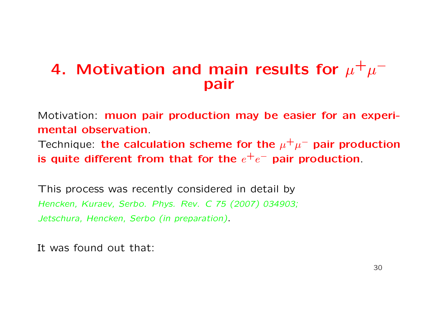# 4. Motivation and main results for  $\mu^+\mu^$ pair

Motivation: muon pair production may be easier for an experimental observation.

Technique: the calculation scheme for the  $\mu^+\mu^-$  pair production is quite different from that for the  $e^+e^-$  pair production.

This process was recently considered in detail by Hencken, Kuraev, Serbo. Phys. Rev. C 75 (2007) 034903; Jetschura, Hencken, Serbo (in preparation).

It was found out that: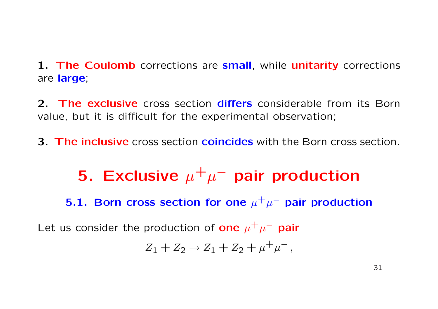1. The Coulomb corrections are small, while unitarity corrections are large;

2. The exclusive cross section differs considerable from its Born value, but it is difficult for the experimental observation;

3. The inclusive cross section coincides with the Born cross section.

5. Exclusive  $\mu^+ \mu^-$  pair production 5.1. Born cross section for one  $\mu^+\mu^-$  pair production Let us consider the production of one  $\mu^+ \mu^-$  pair  $Z_1 + Z_2 \rightarrow Z_1 + Z_2 + \mu^+ \mu^-,$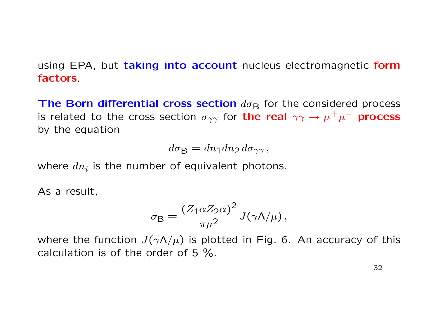using EPA, but taking into account nucleus electromagnetic form factors.

The Born differential cross section  $d\sigma_B$  for the considered process is related to the cross section  $\sigma_{\gamma\gamma}$  for the real  $\gamma\gamma\to\mu^+\mu^-$  process by the equation

 $d\sigma_{\rm B} = dn_1dn_2 d\sigma_{\gamma\gamma}$ ,

where  $dn_i$  is the number of equivalent photons.

As a result,

$$
\sigma_{\rm B} = \frac{(Z_1 \alpha Z_2 \alpha)^2}{\pi \mu^2} J(\gamma \Lambda/\mu) \,,
$$

where the function  $J(\gamma \Lambda/\mu)$  is plotted in Fig. 6. An accuracy of this calculation is of the order of 5 %.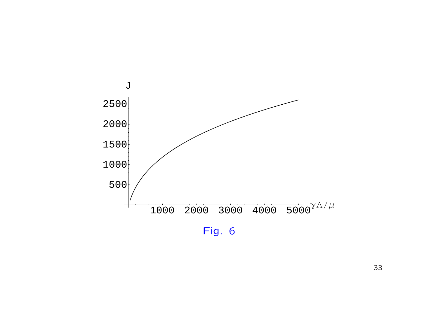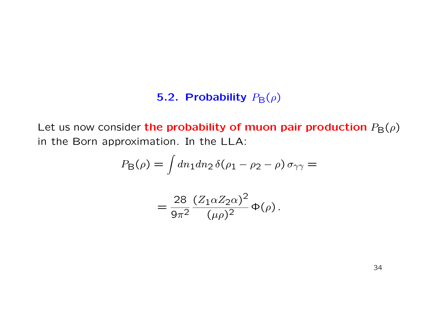### 5.2. Probability  $P_{\mathsf{B}}(\rho)$

Let us now consider the probability of muon pair production  $P_{\rm B}(\rho)$ in the Born approximation. In the LLA:

$$
P_{\mathsf{B}}(\rho) = \int dn_1 dn_2 \,\delta(\rho_1 - \rho_2 - \rho) \,\sigma_{\gamma\gamma} =
$$

$$
=\frac{28}{9\pi^2}\frac{(Z_1\alpha Z_2\alpha)^2}{(\mu\rho)^2}\Phi(\rho).
$$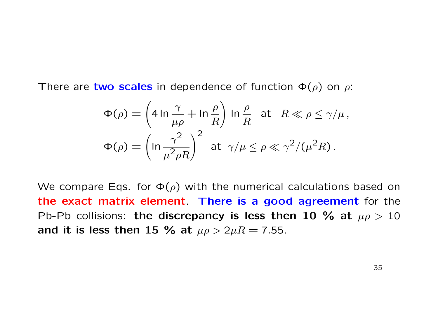There are two scales in dependence of function  $\Phi(\rho)$  on  $\rho$ :

$$
\Phi(\rho) = \left(4 \ln \frac{\gamma}{\mu \rho} + \ln \frac{\rho}{R}\right) \ln \frac{\rho}{R} \text{ at } R \ll \rho \le \gamma/\mu,
$$
  

$$
\Phi(\rho) = \left(\ln \frac{\gamma^2}{\mu^2 \rho R}\right)^2 \text{ at } \gamma/\mu \le \rho \ll \gamma^2/(\mu^2 R).
$$

We compare Eqs. for  $\Phi(\rho)$  with the numerical calculations based on the exact matrix element. There is a good agreement for the Pb-Pb collisions: the discrepancy is less then 10 % at  $\mu \rho > 10$ and it is less then 15 % at  $\mu \rho > 2 \mu R = 7.55$ .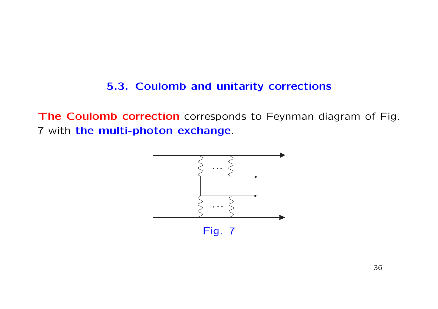### 5.3. Coulomb and unitarity corrections

The Coulomb correction corresponds to Feynman diagram of Fig. 7 with the multi-photon exchange.

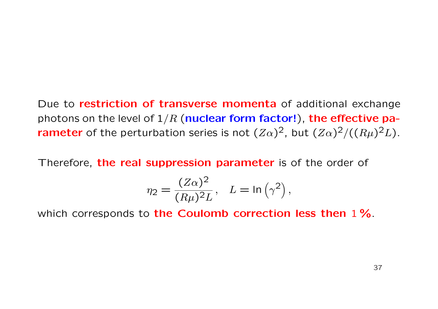Due to restriction of transverse momenta of additional exchange photons on the level of  $1/R$  (nuclear form factor!), the effective pa**rameter** of the perturbation series is not  $(Z\alpha)^2$ , but  $(Z\alpha)^2/((R\mu)^2L)$ .

Therefore, the real suppression parameter is of the order of

$$
\eta_2 = \frac{(Z\alpha)^2}{(R\mu)^2 L}, \quad L = \ln(\gamma^2),
$$

which corresponds to the Coulomb correction less then 1%.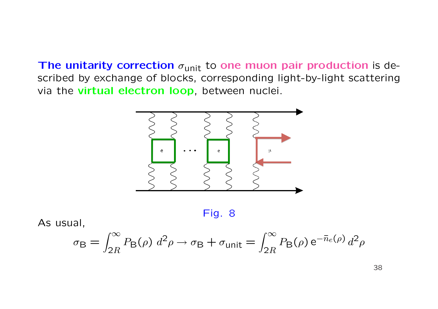The unitarity correction  $\sigma_{\text{unit}}$  to one muon pair production is described by exchange of blocks, corresponding light-by-light scattering via the virtual electron loop, between nuclei.



Fig. 8

As usual,

$$
\sigma_{\rm B} = \int_{2R}^{\infty} P_{\rm B}(\rho) d^2 \rho \rightarrow \sigma_{\rm B} + \sigma_{\rm unit} = \int_{2R}^{\infty} P_{\rm B}(\rho) e^{-\bar{n}_e(\rho)} d^2 \rho
$$

38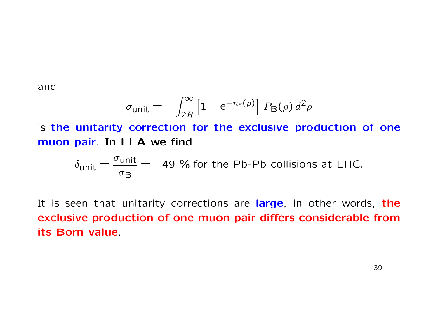and

$$
\sigma_{\text{unit}} = -\int_{2R}^{\infty} \left[1 - e^{-\bar{n}_e(\rho)}\right] P_{\text{B}}(\rho) d^2 \rho
$$

is the unitarity correction for the exclusive production of one muon pair. In LLA we find

$$
\delta_{\text{unit}} = \frac{\sigma_{\text{unit}}}{\sigma_{\text{B}}} = -49 \text{ % for the Pb-Pb collisions at LHC.}
$$

It is seen that unitarity corrections are large, in other words, the exclusive production of one muon pair differs considerable from its Born value.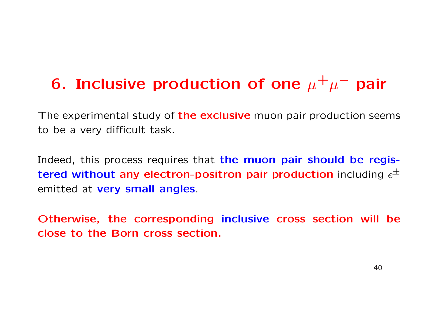# 6. Inclusive production of one  $\mu^+\mu^-$  pair

The experimental study of the exclusive muon pair production seems to be a very difficult task.

Indeed, this process requires that the muon pair should be registered without any electron-positron pair production including  $e^{\pm}$ emitted at very small angles.

Otherwise, the corresponding inclusive cross section will be close to the Born cross section.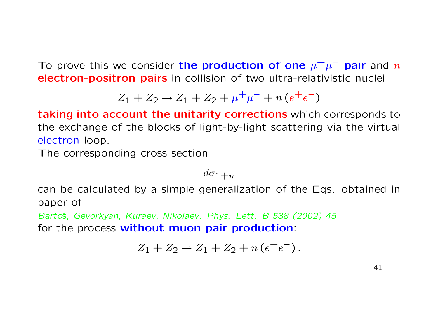To prove this we consider the production of one  $\mu^+\mu^-$  pair and  $n$ electron-positron pairs in collision of two ultra-relativistic nuclei

$$
Z_1 + Z_2 \rightarrow Z_1 + Z_2 + \mu^+ \mu^- + n \left( e^+ e^- \right)
$$

taking into account the unitarity corrections which corresponds to the exchange of the blocks of light-by-light scattering via the virtual electron loop.

The corresponding cross section

 $d\sigma_{1+n}$ 

can be calculated by a simple generalization of the Eqs. obtained in paper of

Bartoš, Gevorkyan, Kuraev, Nikolaev. Phys. Lett. B 538 (2002) 45 for the process without muon pair production:

$$
Z_1 + Z_2 \to Z_1 + Z_2 + n(e^+e^-).
$$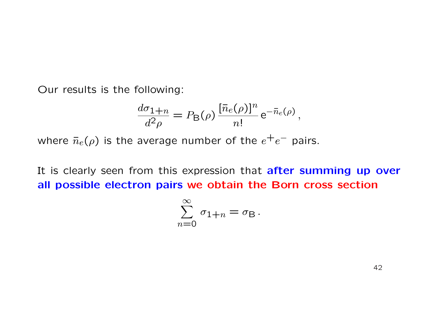Our results is the following:

$$
\frac{d\sigma_{1+n}}{d^2\rho} = P_{\mathsf{B}}(\rho) \frac{[\bar{n}_e(\rho)]^n}{n!} e^{-\bar{n}_e(\rho)},
$$

where  $\bar{n}_e(\rho)$  is the average number of the  $e^+e^-$  pairs.

It is clearly seen from this expression that **after summing up over** all possible electron pairs we obtain the Born cross section

$$
\sum_{n=0}^{\infty} \sigma_{1+n} = \sigma_{\mathsf{B}}.
$$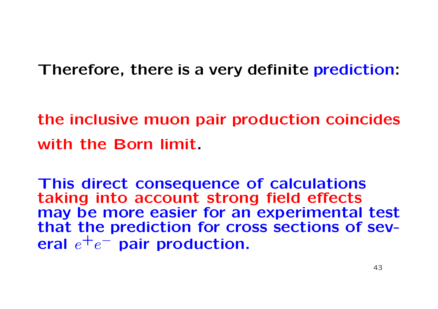Therefore, there is a very definite prediction:

the inclusive muon pair production coincides with the Born limit.

This direct consequence of calculations taking into account strong field effects may be more easier for an experimental test that the prediction for cross sections of several  $e^+e^-$  pair production.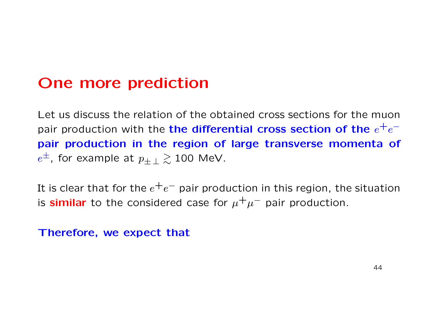## One more prediction

Let us discuss the relation of the obtained cross sections for the muon pair production with the the differential cross section of the  $e^+e^$ pair production in the region of large transverse momenta of  $e^\pm$ , for example at  $p_{\pm\,\perp} \gtrsim 100$  MeV.

It is clear that for the  $e^+e^-$  pair production in this region, the situation is similar to the considered case for  $\mu^+\mu^-$  pair production.

### Therefore, we expect that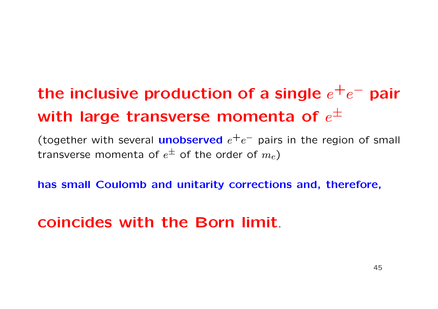# the inclusive production of a single  $e^+e^-$  pair with large transverse momenta of  $e^{\pm}$

(together with several **unobserved**  $e^+e^-$  pairs in the region of small transverse momenta of  $e^{\pm}$  of the order of  $m_e)$ 

has small Coulomb and unitarity corrections and, therefore,

# coincides with the Born limit.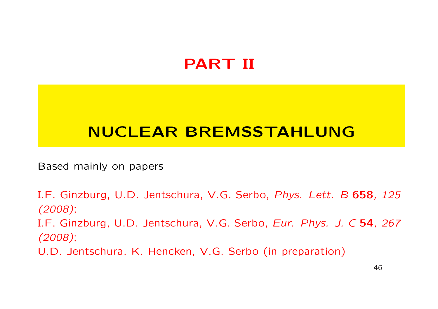# PART II

# NUCLEAR BREMSSTAHLUNG

Based mainly on papers

I.F. Ginzburg, U.D. Jentschura, V.G. Serbo, Phys. Lett. B 658, 125 (2008); I.F. Ginzburg, U.D. Jentschura, V.G. Serbo, Eur. Phys. J. C 54, 267 (2008); U.D. Jentschura, K. Hencken, V.G. Serbo (in preparation)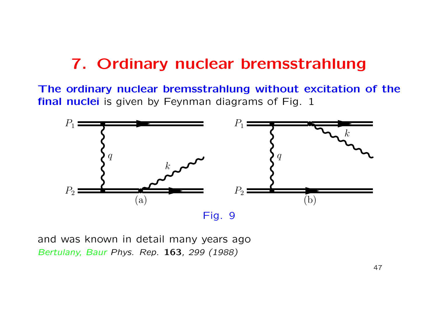# 7. Ordinary nuclear bremsstrahlung

The ordinary nuclear bremsstrahlung without excitation of the final nuclei is given by Feynman diagrams of Fig. 1



and was known in detail many years ago Bertulany, Baur Phys. Rep. 163, 299 (1988)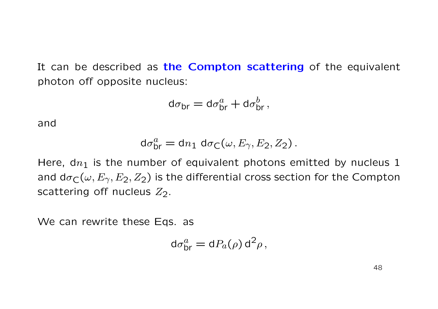It can be described as the Compton scattering of the equivalent photon off opposite nucleus:

$$
d\sigma_{\rm br} = d\sigma_{\rm br}^a + d\sigma_{\rm br}^b\,,
$$

and

$$
\mathrm{d}\sigma_{\mathrm{br}}^a = \mathrm{d}n_1 \; \mathrm{d}\sigma_{\mathsf{C}}(\omega, E_{\gamma}, E_2, Z_2) \, .
$$

Here,  $dn_1$  is the number of equivalent photons emitted by nucleus 1 and  $d\sigma_C(\omega, E_\gamma, E_2, Z_2)$  is the differential cross section for the Compton scattering off nucleus  $Z_2$ .

We can rewrite these Eqs. as

$$
\mathrm{d}\sigma_{\mathrm{br}}^a = \mathrm{d}P_a(\rho)\,\mathrm{d}^2\rho\,,
$$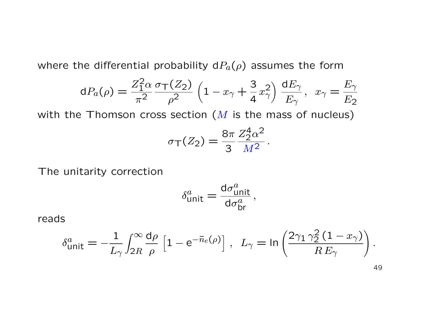where the differential probability  $dP_a(\rho)$  assumes the form

$$
dP_a(\rho) = \frac{Z_1^2 \alpha}{\pi^2} \frac{\sigma_T(Z_2)}{\rho^2} \left(1 - x_\gamma + \frac{3}{4}x_\gamma^2\right) \frac{dE_\gamma}{E_\gamma}, \ \ x_\gamma = \frac{E_\gamma}{E_2}
$$

with the Thomson cross section  $(M$  is the mass of nucleus)

$$
\sigma_{\mathsf{T}}(Z_2) = \frac{8\pi}{3} \frac{Z_2^4 \alpha^2}{M^2}
$$

.

The unitarity correction

$$
\delta^a_{\mathsf{unit}} = \frac{\mathrm{d}\sigma^a_{\mathsf{unit}}}{\mathrm{d}\sigma^a_{\mathsf{br}}},
$$

reads

$$
\delta_{\mathsf{unit}}^a = -\frac{1}{L_\gamma} \int_{2R}^\infty \frac{\mathrm{d}\rho}{\rho} \left[ 1 - \mathrm{e}^{-\bar{n}_e(\rho)} \right], \quad L_\gamma = \ln \left( \frac{2\gamma_1 \gamma_2^2 \left( 1 - x_\gamma \right)}{R E_\gamma} \right).
$$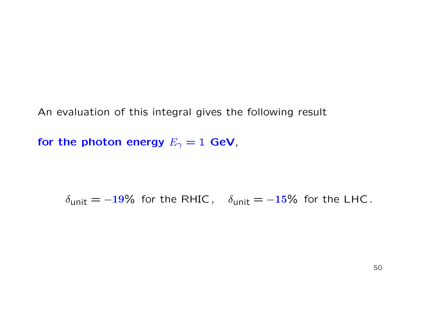An evaluation of this integral gives the following result

for the photon energy  $E_{\gamma}=1$  GeV,

 $\delta_{\text{unit}} = -19\%$  for the RHIC,  $\delta_{\text{unit}} = -15\%$  for the LHC.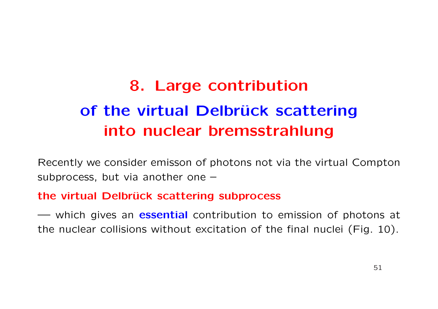# 8. Large contribution of the virtual Delbrück scattering into nuclear bremsstrahlung

Recently we consider emisson of photons not via the virtual Compton subprocess, but via another one –

### the virtual Delbrück scattering subprocess

— which gives an **essential** contribution to emission of photons at the nuclear collisions without excitation of the final nuclei (Fig. 10).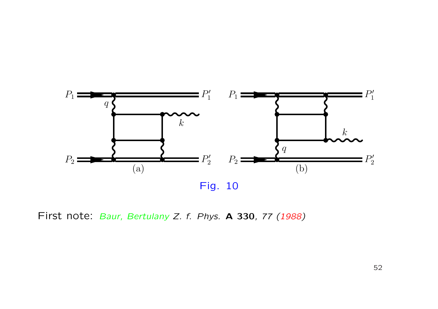

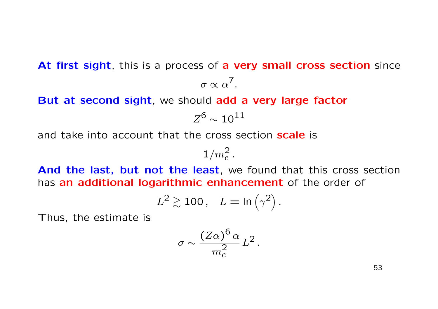At first sight, this is a process of a very small cross section since

$$
\sigma \propto \alpha^7.
$$

But at second sight, we should add a very large factor

$$
Z^6 \sim 10^{11}
$$

and take into account that the cross section **scale** is

$$
1/m_e^2\,.
$$

And the last, but not the least, we found that this cross section has an additional logarithmic enhancement of the order of

$$
L^2 \gtrsim 100\,, \quad L = \ln\left(\gamma^2\right).
$$

Thus, the estimate is

$$
\sigma \sim \frac{(Z\alpha)^6 \alpha}{m_e^2} L^2
$$

.

53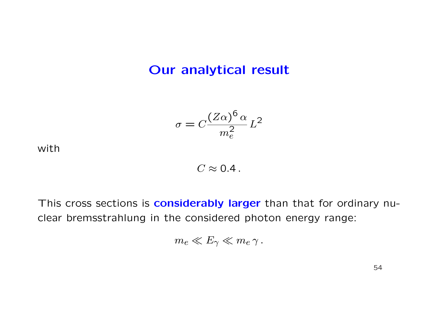### Our analytical result

$$
\sigma = C \frac{(Z\alpha)^6 \alpha}{m_e^2} L^2
$$

with

 $C \approx 0.4$ .

This cross sections is **considerably larger** than that for ordinary nuclear bremsstrahlung in the considered photon energy range:

$$
m_e \ll E_\gamma \ll m_e \gamma.
$$